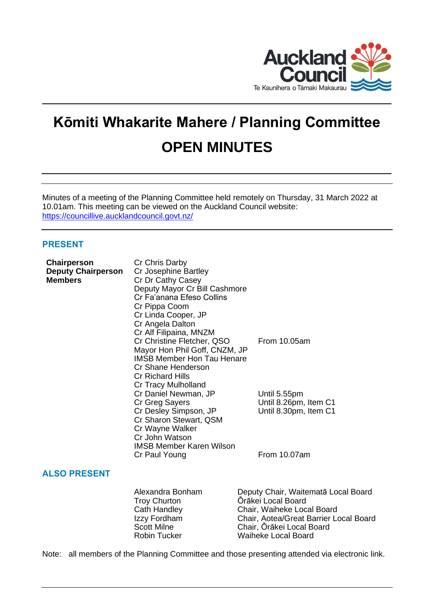

# **Kōmiti Whakarite Mahere / Planning Committee OPEN MINUTES**

Minutes of a meeting of the Planning Committee held remotely on Thursday, 31 March 2022 at 10.01am. This meeting can be viewed on the Auckland Council website: <https://councillive.aucklandcouncil.govt.nz/>

# **PRESENT**

| Chairperson                                 | Cr Chris Darby                                                                                                                                                           |                                                                                                                                                                                              |
|---------------------------------------------|--------------------------------------------------------------------------------------------------------------------------------------------------------------------------|----------------------------------------------------------------------------------------------------------------------------------------------------------------------------------------------|
| <b>Deputy Chairperson</b><br><b>Members</b> | Cr Josephine Bartley<br>Cr Dr Cathy Casey<br>Deputy Mayor Cr Bill Cashmore                                                                                               |                                                                                                                                                                                              |
|                                             | Cr Fa'anana Efeso Collins<br>Cr Pippa Coom                                                                                                                               |                                                                                                                                                                                              |
|                                             | Cr Linda Cooper, JP<br>Cr Angela Dalton<br>Cr Alf Filipaina, MNZM                                                                                                        |                                                                                                                                                                                              |
|                                             | Cr Christine Fletcher, QSO<br>Mayor Hon Phil Goff, CNZM, JP<br><b>IMSB Member Hon Tau Henare</b><br>Cr Shane Henderson<br><b>Cr Richard Hills</b><br>Cr Tracy Mulholland | From 10.05am                                                                                                                                                                                 |
|                                             | Cr Daniel Newman, JP<br>Cr Greg Sayers<br>Cr Desley Simpson, JP<br>Cr Sharon Stewart, QSM<br>Cr Wayne Walker<br>Cr John Watson<br><b>IMSB Member Karen Wilson</b>        | Until 5.55pm<br>Until 8.26pm, Item C1<br>Until 8.30pm, Item C1                                                                                                                               |
|                                             | Cr Paul Young                                                                                                                                                            | From 10.07am                                                                                                                                                                                 |
| <b>ALSO PRESENT</b>                         |                                                                                                                                                                          |                                                                                                                                                                                              |
|                                             | Alexandra Bonham<br><b>Troy Churton</b><br>Cath Handley<br>Izzy Fordham<br><b>Scott Milne</b><br><b>Robin Tucker</b>                                                     | Deputy Chair, Waitematā Local Board<br>Örākei Local Board<br>Chair, Waiheke Local Board<br>Chair, Aotea/Great Barrier Local Board<br>Chair, Orākei Local Board<br><b>Waiheke Local Board</b> |

Note: all members of the Planning Committee and those presenting attended via electronic link.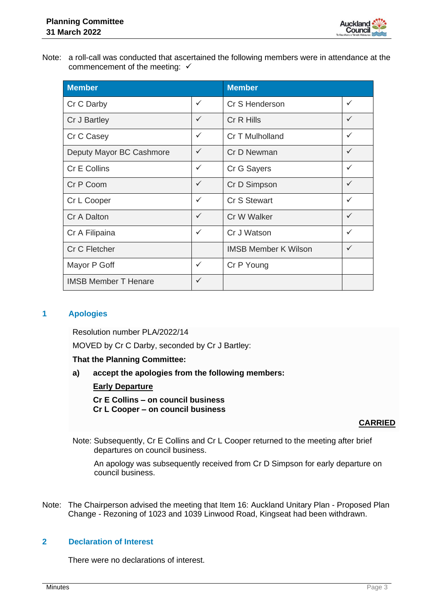

Note: a roll-call was conducted that ascertained the following members were in attendance at the commencement of the meeting:  $√$ 

| <b>Member</b>               |              | <b>Member</b>               |              |
|-----------------------------|--------------|-----------------------------|--------------|
| Cr C Darby                  | ✓            | Cr S Henderson              | $\checkmark$ |
| Cr J Bartley                | $\checkmark$ | Cr R Hills                  | $\checkmark$ |
| Cr C Casey                  | $\checkmark$ | Cr T Mulholland             | ✓            |
| Deputy Mayor BC Cashmore    | $\checkmark$ | Cr D Newman                 | ✓            |
| <b>Cr E Collins</b>         | ✓            | Cr G Sayers                 | ✓            |
| Cr P Coom                   | $\checkmark$ | Cr D Simpson                |              |
| Cr L Cooper                 | ✓            | Cr S Stewart                | $\checkmark$ |
| Cr A Dalton                 | $\checkmark$ | Cr W Walker                 | ✓            |
| Cr A Filipaina              | $\checkmark$ | Cr J Watson                 | $\checkmark$ |
| <b>Cr C Fletcher</b>        |              | <b>IMSB Member K Wilson</b> | ✓            |
| Mayor P Goff                | $\checkmark$ | Cr P Young                  |              |
| <b>IMSB Member T Henare</b> | $\checkmark$ |                             |              |

# **1 Apologies**

Resolution number PLA/2022/14

MOVED by Cr C Darby, seconded by Cr J Bartley:

#### **That the Planning Committee:**

**a) accept the apologies from the following members:**

# **Early Departure**

**Cr E Collins – on council business Cr L Cooper – on council business**

#### **CARRIED**

Note: Subsequently, Cr E Collins and Cr L Cooper returned to the meeting after brief departures on council business.

An apology was subsequently received from Cr D Simpson for early departure on council business.

Note: The Chairperson advised the meeting that Item 16: Auckland Unitary Plan - Proposed Plan Change - Rezoning of 1023 and 1039 Linwood Road, Kingseat had been withdrawn.

# **2 Declaration of Interest**

There were no declarations of interest.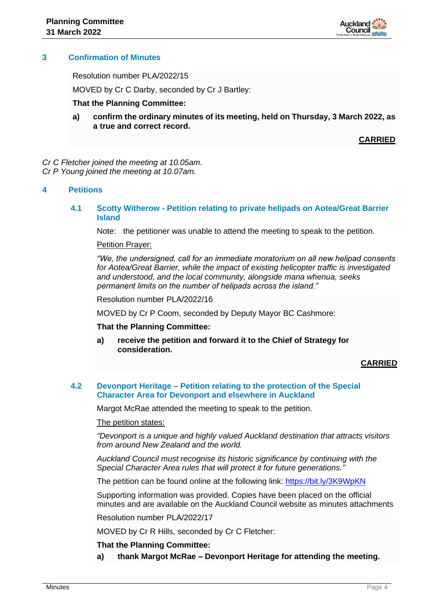

# **3 Confirmation of Minutes**

Resolution number PLA/2022/15

MOVED by Cr C Darby, seconded by Cr J Bartley:

#### **That the Planning Committee:**

**a) confirm the ordinary minutes of its meeting, held on Thursday, 3 March 2022, as a true and correct record.**

**CARRIED**

*Cr C Fletcher joined the meeting at 10.05am. Cr P Young joined the meeting at 10.07am.*

#### **4 Petitions**

#### **4.1 Scotty Witherow - Petition relating to private helipads on Aotea/Great Barrier Island**

Note: the petitioner was unable to attend the meeting to speak to the petition.

#### Petition Prayer:

*"We, the undersigned, call for an immediate moratorium on all new helipad consents for Aotea/Great Barrier, while the impact of existing helicopter traffic is investigated and understood, and the local community, alongside mana whenua, seeks permanent limits on the number of helipads across the island."*

Resolution number PLA/2022/16

MOVED by Cr P Coom, seconded by Deputy Mayor BC Cashmore:

#### **That the Planning Committee:**

**a) receive the petition and forward it to the Chief of Strategy for consideration.**

#### **CARRIED**

#### **4.2 Devonport Heritage – Petition relating to the protection of the Special Character Area for Devonport and elsewhere in Auckland**

Margot McRae attended the meeting to speak to the petition.

#### The petition states:

*"Devonport is a unique and highly valued Auckland destination that attracts visitors from around New Zealand and the world.* 

*Auckland Council must recognise its historic significance by continuing with the Special Character Area rules that will protect it for future generations."*

The petition can be found online at the following link:<https://bit.ly/3K9WpKN>

Supporting information was provided. Copies have been placed on the official minutes and are available on the Auckland Council website as minutes attachments

Resolution number PLA/2022/17

MOVED by Cr R Hills, seconded by Cr C Fletcher:

#### **That the Planning Committee:**

**a) thank Margot McRae – Devonport Heritage for attending the meeting.**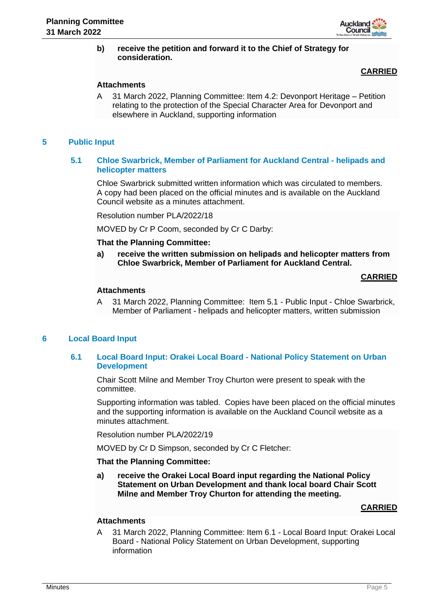

#### **b) receive the petition and forward it to the Chief of Strategy for consideration.**

# **CARRIED**

#### **Attachments**

A 31 March 2022, Planning Committee: Item 4.2: Devonport Heritage – Petition relating to the protection of the Special Character Area for Devonport and elsewhere in Auckland, supporting information

#### **5 Public Input**

#### **5.1 Chloe Swarbrick, Member of Parliament for Auckland Central - helipads and helicopter matters**

Chloe Swarbrick submitted written information which was circulated to members. A copy had been placed on the official minutes and is available on the Auckland Council website as a minutes attachment.

Resolution number PLA/2022/18

MOVED by Cr P Coom, seconded by Cr C Darby:

#### **That the Planning Committee:**

**a) receive the written submission on helipads and helicopter matters from Chloe Swarbrick, Member of Parliament for Auckland Central.** 

#### **CARRIED**

#### **Attachments**

A 31 March 2022, Planning Committee: Item 5.1 - Public Input - Chloe Swarbrick, Member of Parliament - helipads and helicopter matters, written submission

#### **6 Local Board Input**

#### **6.1 Local Board Input: Orakei Local Board - National Policy Statement on Urban Development**

Chair Scott Milne and Member Troy Churton were present to speak with the committee.

Supporting information was tabled. Copies have been placed on the official minutes and the supporting information is available on the Auckland Council website as a minutes attachment.

Resolution number PLA/2022/19

MOVED by Cr D Simpson, seconded by Cr C Fletcher:

#### **That the Planning Committee:**

**a) receive the Orakei Local Board input regarding the National Policy Statement on Urban Development and thank local board Chair Scott Milne and Member Troy Churton for attending the meeting.**

#### **CARRIED**

#### **Attachments**

A 31 March 2022, Planning Committee: Item 6.1 - Local Board Input: Orakei Local Board - National Policy Statement on Urban Development, supporting information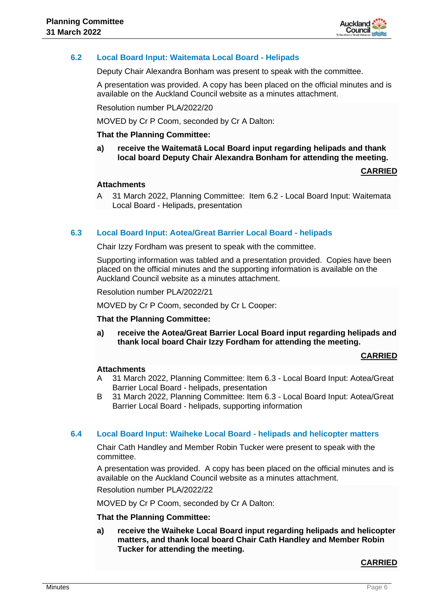

# **6.2 Local Board Input: Waitemata Local Board - Helipads**

Deputy Chair Alexandra Bonham was present to speak with the committee.

A presentation was provided. A copy has been placed on the official minutes and is available on the Auckland Council website as a minutes attachment.

Resolution number PLA/2022/20

MOVED by Cr P Coom, seconded by Cr A Dalton:

#### **That the Planning Committee:**

**a) receive the Waitematā Local Board input regarding helipads and thank local board Deputy Chair Alexandra Bonham for attending the meeting.**

**CARRIED**

#### **Attachments**

A 31 March 2022, Planning Committee: Item 6.2 - Local Board Input: Waitemata Local Board - Helipads, presentation

#### **6.3 Local Board Input: Aotea/Great Barrier Local Board - helipads**

Chair Izzy Fordham was present to speak with the committee.

Supporting information was tabled and a presentation provided. Copies have been placed on the official minutes and the supporting information is available on the Auckland Council website as a minutes attachment.

Resolution number PLA/2022/21

MOVED by Cr P Coom, seconded by Cr L Cooper:

#### **That the Planning Committee:**

**a) receive the Aotea/Great Barrier Local Board input regarding helipads and thank local board Chair Izzy Fordham for attending the meeting.**

**CARRIED**

#### **Attachments**

- A 31 March 2022, Planning Committee: Item 6.3 Local Board Input: Aotea/Great Barrier Local Board - helipads, presentation
- B 31 March 2022, Planning Committee: Item 6.3 Local Board Input: Aotea/Great Barrier Local Board - helipads, supporting information

#### **6.4 Local Board Input: Waiheke Local Board - helipads and helicopter matters**

Chair Cath Handley and Member Robin Tucker were present to speak with the committee.

A presentation was provided. A copy has been placed on the official minutes and is available on the Auckland Council website as a minutes attachment.

Resolution number PLA/2022/22

MOVED by Cr P Coom, seconded by Cr A Dalton:

#### **That the Planning Committee:**

**a) receive the Waiheke Local Board input regarding helipads and helicopter matters, and thank local board Chair Cath Handley and Member Robin Tucker for attending the meeting.**

#### **CARRIED**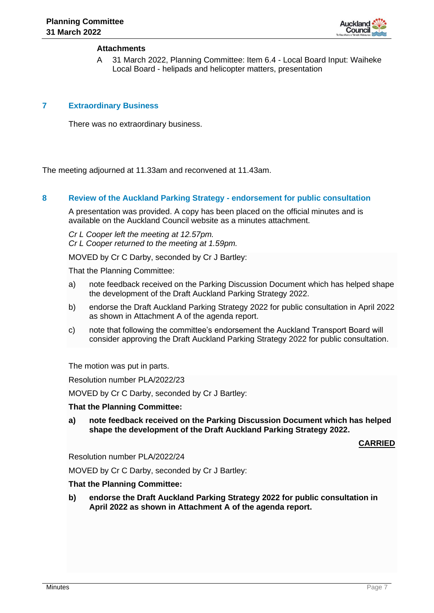

#### **Attachments**

A 31 March 2022, Planning Committee: Item 6.4 - Local Board Input: Waiheke Local Board - helipads and helicopter matters, presentation

#### **7 Extraordinary Business**

There was no extraordinary business.

The meeting adjourned at 11.33am and reconvened at 11.43am.

#### **8 Review of the Auckland Parking Strategy - endorsement for public consultation**

A presentation was provided. A copy has been placed on the official minutes and is available on the Auckland Council website as a minutes attachment.

*Cr L Cooper left the meeting at 12.57pm. Cr L Cooper returned to the meeting at 1.59pm.*

MOVED by Cr C Darby, seconded by Cr J Bartley:

That the Planning Committee:

- a) note feedback received on the Parking Discussion Document which has helped shape the development of the Draft Auckland Parking Strategy 2022.
- b) endorse the Draft Auckland Parking Strategy 2022 for public consultation in April 2022 as shown in Attachment A of the agenda report.
- c) note that following the committee's endorsement the Auckland Transport Board will consider approving the Draft Auckland Parking Strategy 2022 for public consultation.

The motion was put in parts.

Resolution number PLA/2022/23

MOVED by Cr C Darby, seconded by Cr J Bartley:

#### **That the Planning Committee:**

**a) note feedback received on the Parking Discussion Document which has helped shape the development of the Draft Auckland Parking Strategy 2022.**

**CARRIED**

Resolution number PLA/2022/24

MOVED by Cr C Darby, seconded by Cr J Bartley:

#### **That the Planning Committee:**

**b) endorse the Draft Auckland Parking Strategy 2022 for public consultation in April 2022 as shown in Attachment A of the agenda report.**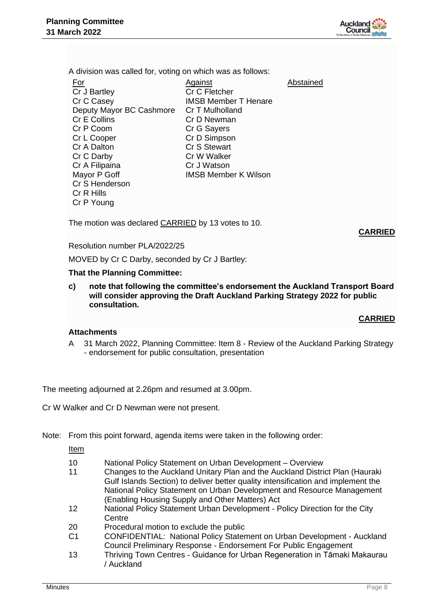

A division was called for, voting on which was as follows:

| <u>For</u>               | Against                     | Abstained |
|--------------------------|-----------------------------|-----------|
| Cr J Bartley             | Cr C Fletcher               |           |
| Cr C Casey               | <b>IMSB Member T Henare</b> |           |
| Deputy Mayor BC Cashmore | Cr T Mulholland             |           |
| Cr E Collins             | Cr D Newman                 |           |
| Cr P Coom                | Cr G Sayers                 |           |
| Cr L Cooper              | Cr D Simpson                |           |
| Cr A Dalton              | Cr S Stewart                |           |
| Cr C Darby               | Cr W Walker                 |           |
| Cr A Filipaina           | Cr J Watson                 |           |
| Mayor P Goff             | <b>IMSB Member K Wilson</b> |           |
| Cr S Henderson           |                             |           |
| Cr R Hills               |                             |           |
| Cr P Young               |                             |           |

The motion was declared **CARRIED** by 13 votes to 10.

**CARRIED**

Resolution number PLA/2022/25

MOVED by Cr C Darby, seconded by Cr J Bartley:

#### **That the Planning Committee:**

**c) note that following the committee's endorsement the Auckland Transport Board will consider approving the Draft Auckland Parking Strategy 2022 for public consultation.**

# **CARRIED**

#### **Attachments**

A 31 March 2022, Planning Committee: Item 8 - Review of the Auckland Parking Strategy - endorsement for public consultation, presentation

The meeting adjourned at 2.26pm and resumed at 3.00pm.

Cr W Walker and Cr D Newman were not present.

Note: From this point forward, agenda items were taken in the following order:

Item

- 10 National Policy Statement on Urban Development Overview
- 11 Changes to the Auckland Unitary Plan and the Auckland District Plan (Hauraki Gulf Islands Section) to deliver better quality intensification and implement the National Policy Statement on Urban Development and Resource Management (Enabling Housing Supply and Other Matters) Act
- 12 National Policy Statement Urban Development Policy Direction for the City **Centre**
- 20 Procedural motion to exclude the public
- C1 CONFIDENTIAL: National Policy Statement on Urban Development Auckland Council Preliminary Response - Endorsement For Public Engagement
- 13 Thriving Town Centres Guidance for Urban Regeneration in Tāmaki Makaurau / Auckland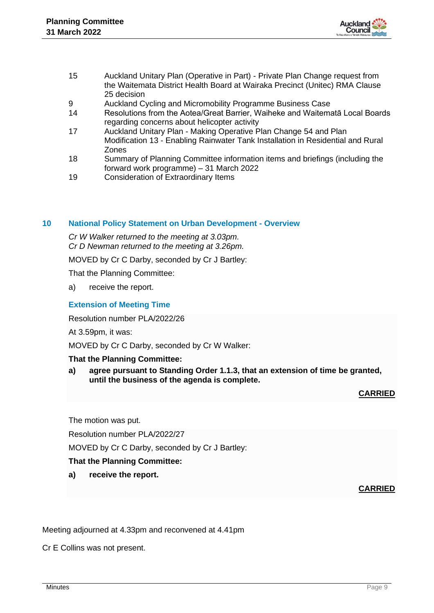

- 15 Auckland Unitary Plan (Operative in Part) Private Plan Change request from the Waitemata District Health Board at Wairaka Precinct (Unitec) RMA Clause 25 decision
- 9 Auckland Cycling and Micromobility Programme Business Case
- 14 Resolutions from the Aotea/Great Barrier, Waiheke and Waitematā Local Boards regarding concerns about helicopter activity
- 17 Auckland Unitary Plan Making Operative Plan Change 54 and Plan Modification 13 - Enabling Rainwater Tank Installation in Residential and Rural Zones
- 18 Summary of Planning Committee information items and briefings (including the forward work programme) – 31 March 2022
- 19 Consideration of Extraordinary Items

# **10 National Policy Statement on Urban Development - Overview**

*Cr W Walker returned to the meeting at 3.03pm. Cr D Newman returned to the meeting at 3.26pm.*

MOVED by Cr C Darby, seconded by Cr J Bartley:

That the Planning Committee:

a) receive the report.

# **Extension of Meeting Time**

Resolution number PLA/2022/26

At 3.59pm, it was:

MOVED by Cr C Darby, seconded by Cr W Walker:

# **That the Planning Committee:**

**a) agree pursuant to Standing Order 1.1.3, that an extension of time be granted, until the business of the agenda is complete.**

# **CARRIED**

The motion was put.

Resolution number PLA/2022/27

MOVED by Cr C Darby, seconded by Cr J Bartley:

# **That the Planning Committee:**

**a) receive the report.**

# **CARRIED**

Meeting adjourned at 4.33pm and reconvened at 4.41pm

Cr E Collins was not present.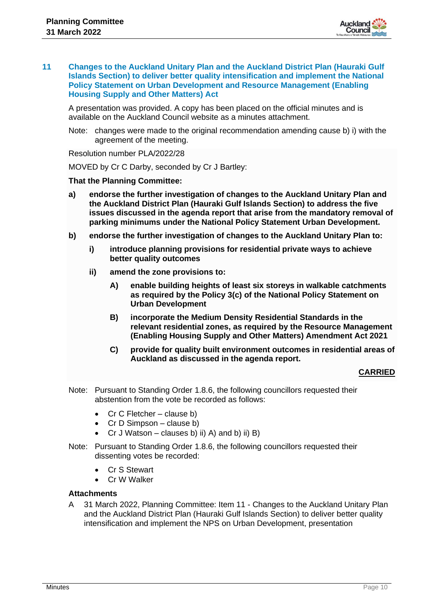

#### **11 Changes to the Auckland Unitary Plan and the Auckland District Plan (Hauraki Gulf Islands Section) to deliver better quality intensification and implement the National Policy Statement on Urban Development and Resource Management (Enabling Housing Supply and Other Matters) Act**

A presentation was provided. A copy has been placed on the official minutes and is available on the Auckland Council website as a minutes attachment.

Note: changes were made to the original recommendation amending cause b) i) with the agreement of the meeting.

Resolution number PLA/2022/28

MOVED by Cr C Darby, seconded by Cr J Bartley:

#### **That the Planning Committee:**

- **a) endorse the further investigation of changes to the Auckland Unitary Plan and the Auckland District Plan (Hauraki Gulf Islands Section) to address the five issues discussed in the agenda report that arise from the mandatory removal of parking minimums under the National Policy Statement Urban Development.**
- **b) endorse the further investigation of changes to the Auckland Unitary Plan to:**
	- **i) introduce planning provisions for residential private ways to achieve better quality outcomes**
	- **ii) amend the zone provisions to:**
		- **A) enable building heights of least six storeys in walkable catchments as required by the Policy 3(c) of the National Policy Statement on Urban Development**
		- **B) incorporate the Medium Density Residential Standards in the relevant residential zones, as required by the Resource Management (Enabling Housing Supply and Other Matters) Amendment Act 2021**
		- **C) provide for quality built environment outcomes in residential areas of Auckland as discussed in the agenda report.**

# **CARRIED**

- Note: Pursuant to Standing Order 1.8.6, the following councillors requested their abstention from the vote be recorded as follows:
	- Cr C Fletcher clause b)
	- Cr D Simpson clause b)
	- Cr J Watson clauses b) ii) A) and b) ii) B)
- Note: Pursuant to Standing Order 1.8.6, the following councillors requested their dissenting votes be recorded:
	- Cr S Stewart
	- Cr W Walker

#### **Attachments**

A 31 March 2022, Planning Committee: Item 11 - Changes to the Auckland Unitary Plan and the Auckland District Plan (Hauraki Gulf Islands Section) to deliver better quality intensification and implement the NPS on Urban Development, presentation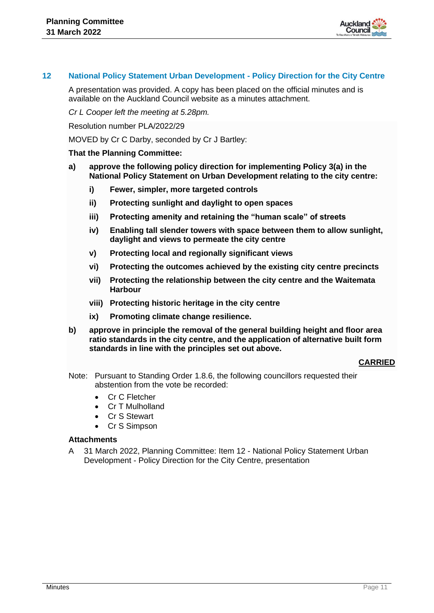

#### **12 National Policy Statement Urban Development - Policy Direction for the City Centre**

A presentation was provided. A copy has been placed on the official minutes and is available on the Auckland Council website as a minutes attachment.

*Cr L Cooper left the meeting at 5.28pm.*

Resolution number PLA/2022/29

MOVED by Cr C Darby, seconded by Cr J Bartley:

#### **That the Planning Committee:**

- **a) approve the following policy direction for implementing Policy 3(a) in the National Policy Statement on Urban Development relating to the city centre:**
	- **i) Fewer, simpler, more targeted controls**
	- **ii) Protecting sunlight and daylight to open spaces**
	- **iii) Protecting amenity and retaining the "human scale" of streets**
	- **iv) Enabling tall slender towers with space between them to allow sunlight, daylight and views to permeate the city centre**
	- **v) Protecting local and regionally significant views**
	- **vi) Protecting the outcomes achieved by the existing city centre precincts**
	- **vii) Protecting the relationship between the city centre and the Waitemata Harbour**
	- **viii) Protecting historic heritage in the city centre**
	- **ix) Promoting climate change resilience.**
- **b) approve in principle the removal of the general building height and floor area ratio standards in the city centre, and the application of alternative built form standards in line with the principles set out above.**

#### **CARRIED**

- Note: Pursuant to Standing Order 1.8.6, the following councillors requested their abstention from the vote be recorded:
	- Cr C Fletcher
	- Cr T Mulholland
	- Cr S Stewart
	- Cr S Simpson

#### **Attachments**

A 31 March 2022, Planning Committee: Item 12 - National Policy Statement Urban Development - Policy Direction for the City Centre, presentation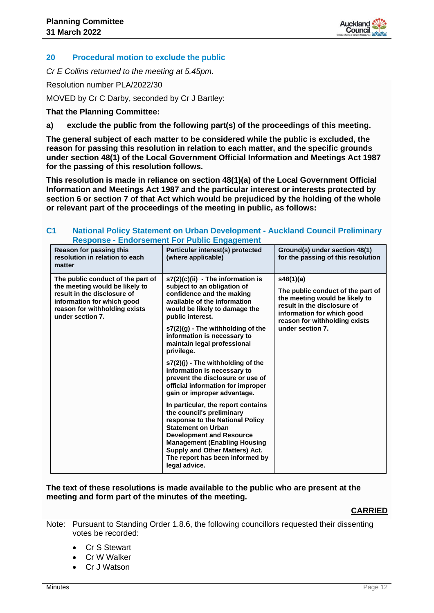

# **20 Procedural motion to exclude the public**

*Cr E Collins returned to the meeting at 5.45pm.*

Resolution number PLA/2022/30

MOVED by Cr C Darby, seconded by Cr J Bartley:

**That the Planning Committee:**

**a) exclude the public from the following part(s) of the proceedings of this meeting.**

**The general subject of each matter to be considered while the public is excluded, the reason for passing this resolution in relation to each matter, and the specific grounds under section 48(1) of the Local Government Official Information and Meetings Act 1987 for the passing of this resolution follows.**

**This resolution is made in reliance on section 48(1)(a) of the Local Government Official Information and Meetings Act 1987 and the particular interest or interests protected by section 6 or section 7 of that Act which would be prejudiced by the holding of the whole or relevant part of the proceedings of the meeting in public, as follows:**

| Reason for passing this<br>Particular interest(s) protected<br>Ground(s) under section 48(1)<br>for the passing of this resolution<br>resolution in relation to each<br>(where applicable)<br>matter<br>s48(1)(a)<br>The public conduct of the part of<br>s7(2)(c)(ii) - The information is<br>the meeting would be likely to<br>subject to an obligation of<br>The public conduct of the part of<br>result in the disclosure of<br>confidence and the making<br>the meeting would be likely to<br>available of the information<br>information for which good<br>result in the disclosure of<br>reason for withholding exists<br>would be likely to damage the<br>information for which good<br>under section 7.<br>public interest.<br>reason for withholding exists<br>under section 7.<br>s7(2)(g) - The withholding of the<br>information is necessary to<br>maintain legal professional<br>privilege.<br>$s7(2)(i)$ - The withholding of the<br>information is necessary to<br>prevent the disclosure or use of<br>official information for improper<br>gain or improper advantage.<br>In particular, the report contains<br>the council's preliminary<br>response to the National Policy<br><b>Statement on Urban</b><br><b>Development and Resource</b><br><b>Management (Enabling Housing</b><br>Supply and Other Matters) Act. | Response - Engorsement For Public Engagement |                                 |  |  |  |  |
|-----------------------------------------------------------------------------------------------------------------------------------------------------------------------------------------------------------------------------------------------------------------------------------------------------------------------------------------------------------------------------------------------------------------------------------------------------------------------------------------------------------------------------------------------------------------------------------------------------------------------------------------------------------------------------------------------------------------------------------------------------------------------------------------------------------------------------------------------------------------------------------------------------------------------------------------------------------------------------------------------------------------------------------------------------------------------------------------------------------------------------------------------------------------------------------------------------------------------------------------------------------------------------------------------------------------------------------------|----------------------------------------------|---------------------------------|--|--|--|--|
|                                                                                                                                                                                                                                                                                                                                                                                                                                                                                                                                                                                                                                                                                                                                                                                                                                                                                                                                                                                                                                                                                                                                                                                                                                                                                                                                         |                                              |                                 |  |  |  |  |
| legal advice.                                                                                                                                                                                                                                                                                                                                                                                                                                                                                                                                                                                                                                                                                                                                                                                                                                                                                                                                                                                                                                                                                                                                                                                                                                                                                                                           |                                              | The report has been informed by |  |  |  |  |

#### **C1 National Policy Statement on Urban Development - Auckland Council Preliminary Response - Endorsement For Public Engagement**

#### **The text of these resolutions is made available to the public who are present at the meeting and form part of the minutes of the meeting.**

# **CARRIED**

- Note: Pursuant to Standing Order 1.8.6, the following councillors requested their dissenting votes be recorded:
	- Cr S Stewart
	- Cr W Walker
	- Cr J Watson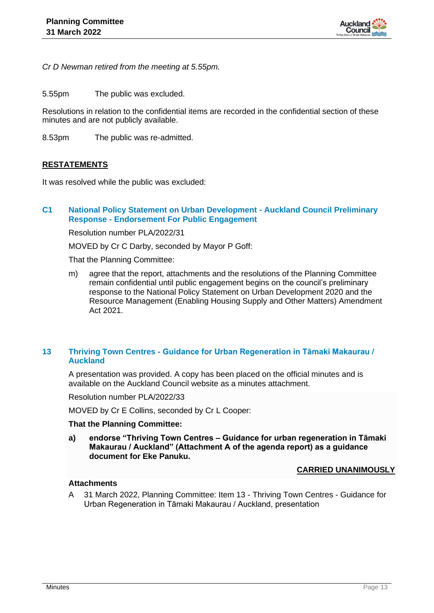

*Cr D Newman retired from the meeting at 5.55pm.*

5.55pm The public was excluded.

Resolutions in relation to the confidential items are recorded in the confidential section of these minutes and are not publicly available.

8.53pm The public was re-admitted.

#### **RESTATEMENTS**

It was resolved while the public was excluded:

# **C1 National Policy Statement on Urban Development - Auckland Council Preliminary Response - Endorsement For Public Engagement**

Resolution number PLA/2022/31

MOVED by Cr C Darby, seconded by Mayor P Goff:

That the Planning Committee:

m) agree that the report, attachments and the resolutions of the Planning Committee remain confidential until public engagement begins on the council's preliminary response to the National Policy Statement on Urban Development 2020 and the Resource Management (Enabling Housing Supply and Other Matters) Amendment Act 2021.

# **13 Thriving Town Centres - Guidance for Urban Regeneration in Tāmaki Makaurau / Auckland**

A presentation was provided. A copy has been placed on the official minutes and is available on the Auckland Council website as a minutes attachment.

Resolution number PLA/2022/33

MOVED by Cr E Collins, seconded by Cr L Cooper:

#### **That the Planning Committee:**

**a) endorse "Thriving Town Centres – Guidance for urban regeneration in Tāmaki Makaurau / Auckland" (Attachment A of the agenda report) as a guidance document for Eke Panuku.** 

#### **CARRIED UNANIMOUSLY**

#### **Attachments**

A 31 March 2022, Planning Committee: Item 13 - Thriving Town Centres - Guidance for Urban Regeneration in Tāmaki Makaurau / Auckland, presentation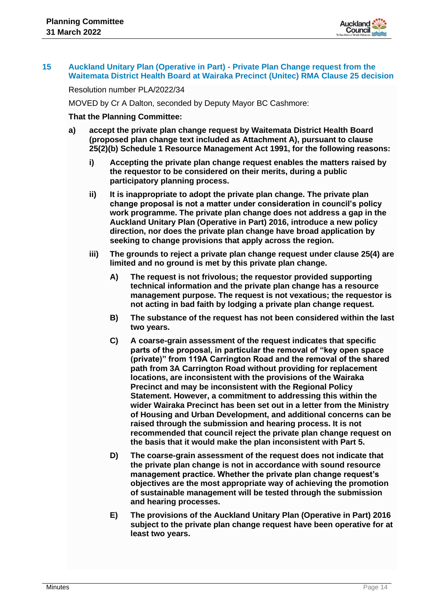

#### **15 Auckland Unitary Plan (Operative in Part) - Private Plan Change request from the Waitemata District Health Board at Wairaka Precinct (Unitec) RMA Clause 25 decision**

Resolution number PLA/2022/34

MOVED by Cr A Dalton, seconded by Deputy Mayor BC Cashmore:

#### **That the Planning Committee:**

- **a) accept the private plan change request by Waitemata District Health Board (proposed plan change text included as Attachment A), pursuant to clause 25(2)(b) Schedule 1 Resource Management Act 1991, for the following reasons:**
	- **i) Accepting the private plan change request enables the matters raised by the requestor to be considered on their merits, during a public participatory planning process.**
	- **ii) It is inappropriate to adopt the private plan change. The private plan change proposal is not a matter under consideration in council's policy work programme. The private plan change does not address a gap in the Auckland Unitary Plan (Operative in Part) 2016, introduce a new policy direction, nor does the private plan change have broad application by seeking to change provisions that apply across the region.**
	- **iii) The grounds to reject a private plan change request under clause 25(4) are limited and no ground is met by this private plan change.** 
		- **A) The request is not frivolous; the requestor provided supporting technical information and the private plan change has a resource management purpose. The request is not vexatious; the requestor is not acting in bad faith by lodging a private plan change request.**
		- **B) The substance of the request has not been considered within the last two years.**
		- **C) A coarse-grain assessment of the request indicates that specific parts of the proposal, in particular the removal of "key open space (private)" from 119A Carrington Road and the removal of the shared path from 3A Carrington Road without providing for replacement locations, are inconsistent with the provisions of the Wairaka Precinct and may be inconsistent with the Regional Policy Statement. However, a commitment to addressing this within the wider Wairaka Precinct has been set out in a letter from the Ministry of Housing and Urban Development, and additional concerns can be raised through the submission and hearing process. It is not recommended that council reject the private plan change request on the basis that it would make the plan inconsistent with Part 5.**
		- **D) The coarse-grain assessment of the request does not indicate that the private plan change is not in accordance with sound resource management practice. Whether the private plan change request's objectives are the most appropriate way of achieving the promotion of sustainable management will be tested through the submission and hearing processes.**
		- **E) The provisions of the Auckland Unitary Plan (Operative in Part) 2016 subject to the private plan change request have been operative for at least two years.**